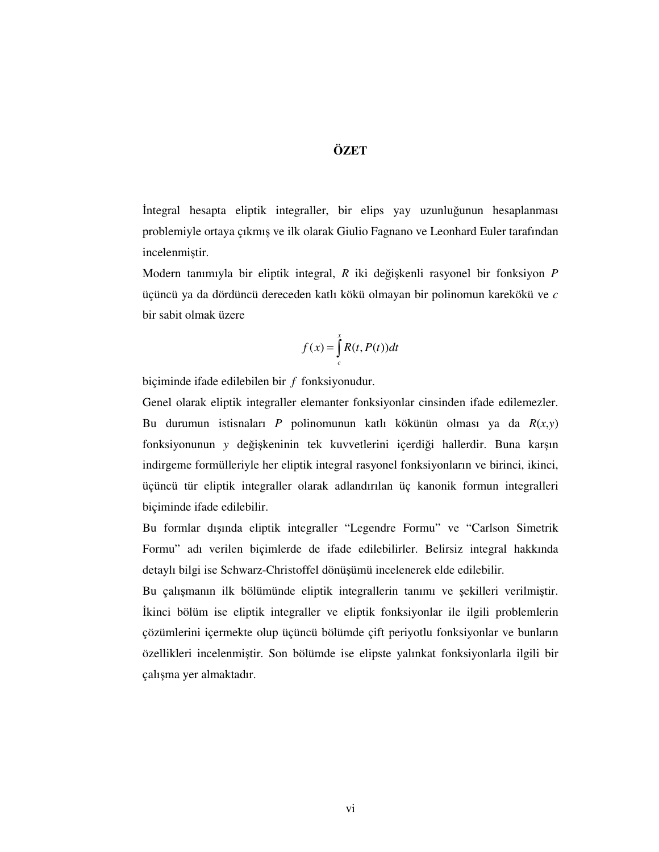## **ÖZET**

İntegral hesapta eliptik integraller, bir elips yay uzunluğunun hesaplanması problemiyle ortaya çıkmış ve ilk olarak Giulio Fagnano ve Leonhard Euler tarafından incelenmiştir.

Modern tanımıyla bir eliptik integral, *R* iki değişkenli rasyonel bir fonksiyon *P* üçüncü ya da dördüncü dereceden katlı kökü olmayan bir polinomun karekökü ve *c* bir sabit olmak üzere

$$
f(x) = \int_{c}^{x} R(t, P(t))dt
$$

biçiminde ifade edilebilen bir *f* fonksiyonudur.

Genel olarak eliptik integraller elemanter fonksiyonlar cinsinden ifade edilemezler. Bu durumun istisnaları *P* polinomunun katlı kökünün olması ya da *R*(*x*,*y*) fonksiyonunun *y* değişkeninin tek kuvvetlerini içerdiği hallerdir. Buna karşın indirgeme formülleriyle her eliptik integral rasyonel fonksiyonların ve birinci, ikinci, üçüncü tür eliptik integraller olarak adlandırılan üç kanonik formun integralleri biçiminde ifade edilebilir.

Bu formlar dışında eliptik integraller "Legendre Formu" ve "Carlson Simetrik Formu" adı verilen biçimlerde de ifade edilebilirler. Belirsiz integral hakkında detaylı bilgi ise Schwarz-Christoffel dönüşümü incelenerek elde edilebilir.

Bu çalışmanın ilk bölümünde eliptik integrallerin tanımı ve şekilleri verilmiştir. İkinci bölüm ise eliptik integraller ve eliptik fonksiyonlar ile ilgili problemlerin çözümlerini içermekte olup üçüncü bölümde çift periyotlu fonksiyonlar ve bunların özellikleri incelenmiştir. Son bölümde ise elipste yalınkat fonksiyonlarla ilgili bir çalışma yer almaktadır.